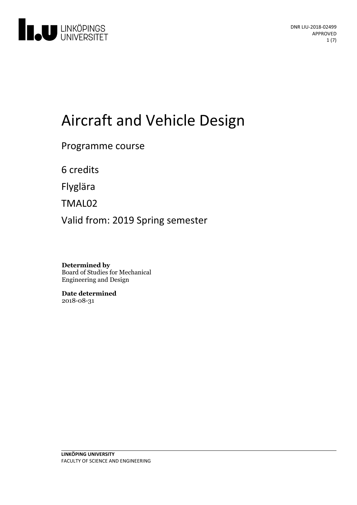

# Aircraft and Vehicle Design

Programme course

6 credits

Flyglära

TMAL02

Valid from: 2019 Spring semester

**Determined by** Board of Studies for Mechanical Engineering and Design

**Date determined** 2018-08-31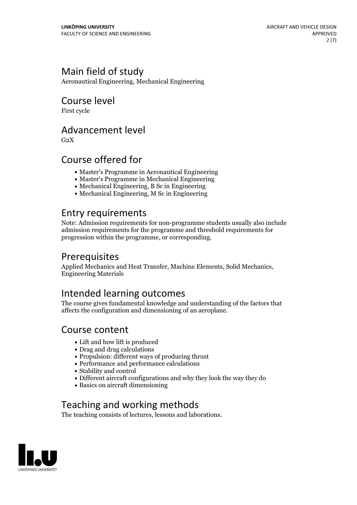# Main field of study

Aeronautical Engineering, Mechanical Engineering

# Course level

First cycle

### Advancement level

 $G<sub>2</sub>X$ 

# Course offered for

- Master's Programme in Aeronautical Engineering
- Master's Programme in Mechanical Engineering
- Mechanical Engineering, B Sc in Engineering
- Mechanical Engineering, M Sc in Engineering

# Entry requirements

Note: Admission requirements for non-programme students usually also include admission requirements for the programme and threshold requirements for progression within the programme, or corresponding.

# Prerequisites

Applied Mechanics and Heat Transfer, Machine Elements, Solid Mechanics, Engineering Materials

# Intended learning outcomes

The course gives fundamental knowledge and understanding of the factors that affects the configuration and dimensioning of an aeroplane.

### Course content

- Lift and how lift is produced
- Drag and drag calculations
- Propulsion: different ways of producing thrust
- Performance and performance calculations
- Stability and control
- Different aircraft configurations and why they look the way they do
- Basics on aircraft dimensioning

# Teaching and working methods

The teaching consists of lectures, lessons and laborations.

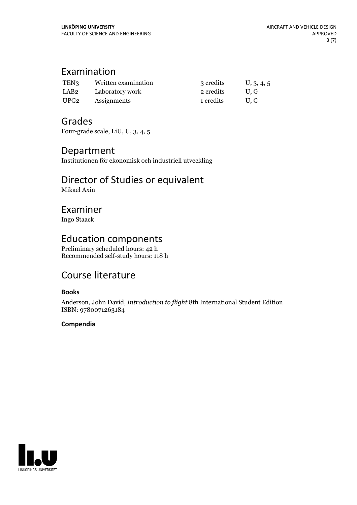# Examination

| TEN <sub>3</sub> | Written examination | 3 credits | U, 3, 4, 5 |
|------------------|---------------------|-----------|------------|
| LAB2             | Laboratory work     | 2 credits | U.G        |
| UPG <sub>2</sub> | Assignments         | 1 credits | U.G        |

### Grades

Four-grade scale, LiU, U, 3, 4, 5

### Department

Institutionen för ekonomisk och industriell utveckling

#### Director of Studies or equivalent Mikael Axin

### Examiner

Ingo Staack

### Education components

Preliminary scheduled hours: 42 h Recommended self-study hours: 118 h

# Course literature

#### **Books**

Anderson, John David, *Introduction to flight* 8th International Student Edition ISBN: 9780071263184

#### **Compendia**

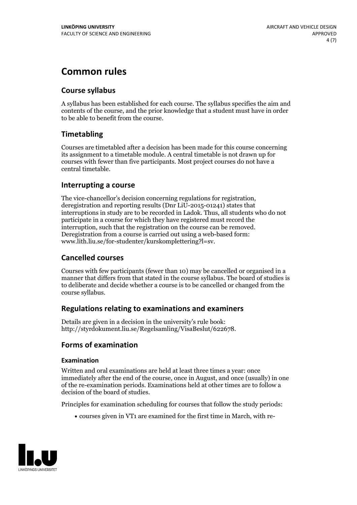# **Common rules**

### **Course syllabus**

A syllabus has been established for each course. The syllabus specifies the aim and contents of the course, and the prior knowledge that a student must have in order to be able to benefit from the course.

### **Timetabling**

Courses are timetabled after a decision has been made for this course concerning its assignment to a timetable module. A central timetable is not drawn up for courses with fewer than five participants. Most project courses do not have a central timetable.

#### **Interrupting a course**

The vice-chancellor's decision concerning regulations for registration, deregistration and reporting results (Dnr LiU-2015-01241) states that interruptions in study are to be recorded in Ladok. Thus, all students who do not participate in a course for which they have registered must record the interruption, such that the registration on the course can be removed. Deregistration from <sup>a</sup> course is carried outusing <sup>a</sup> web-based form: www.lith.liu.se/for-studenter/kurskomplettering?l=sv.

### **Cancelled courses**

Courses with few participants (fewer than 10) may be cancelled or organised in a manner that differs from that stated in the course syllabus. The board of studies is to deliberate and decide whether a course is to be cancelled orchanged from the course syllabus.

### **Regulations relatingto examinations and examiners**

Details are given in a decision in the university's rule book: http://styrdokument.liu.se/Regelsamling/VisaBeslut/622678.

### **Forms of examination**

#### **Examination**

Written and oral examinations are held at least three times a year: once immediately after the end of the course, once in August, and once (usually) in one of the re-examination periods. Examinations held at other times are to follow a decision of the board of studies.

Principles for examination scheduling for courses that follow the study periods:

courses given in VT1 are examined for the first time in March, with re-

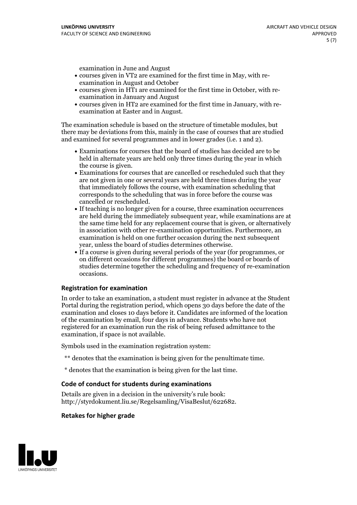examination in June and August

- courses given in VT2 are examined for the first time in May, with re-examination in August and October
- courses given in HT1 are examined for the first time in October, with re-examination in January and August
- courses given in HT2 are examined for the first time in January, with re-examination at Easter and in August.

The examination schedule is based on the structure of timetable modules, but there may be deviations from this, mainly in the case of courses that are studied and examined for several programmes and in lower grades (i.e. 1 and 2).

- Examinations for courses that the board of studies has decided are to be held in alternate years are held only three times during the year in which
- the course is given.<br>• Examinations for courses that are cancelled or rescheduled such that they are not given in one or several years are held three times during the year that immediately follows the course, with examination scheduling that corresponds to the scheduling that was in force before the course was cancelled or rescheduled.<br>• If teaching is no longer given for a course, three examination occurrences
- are held during the immediately subsequent year, while examinations are at the same time held for any replacement course that is given, or alternatively in association with other re-examination opportunities. Furthermore, an examination is held on one further occasion during the next subsequent year, unless the board of studies determines otherwise.<br>• If a course is given during several periods of the year (for programmes, or
- on different occasions for different programmes) the board orboards of studies determine together the scheduling and frequency of re-examination occasions.

#### **Registration for examination**

In order to take an examination, a student must register in advance at the Student Portal during the registration period, which opens 30 days before the date of the examination and closes 10 days before it. Candidates are informed of the location of the examination by email, four days in advance. Students who have not registered for an examination run the risk of being refused admittance to the examination, if space is not available.

Symbols used in the examination registration system:

- \*\* denotes that the examination is being given for the penultimate time.
- \* denotes that the examination is being given for the last time.

#### **Code of conduct for students during examinations**

Details are given in a decision in the university's rule book: http://styrdokument.liu.se/Regelsamling/VisaBeslut/622682.

#### **Retakes for higher grade**

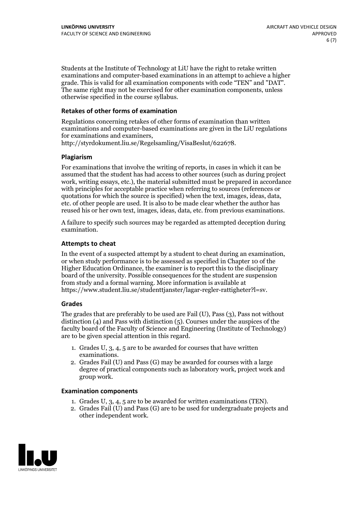Students at the Institute of Technology at LiU have the right to retake written examinations and computer-based examinations in an attempt to achieve a higher grade. This is valid for all examination components with code "TEN" and "DAT". The same right may not be exercised for other examination components, unless otherwise specified in the course syllabus.

#### **Retakes of other forms of examination**

Regulations concerning retakes of other forms of examination than written examinations and computer-based examinations are given in the LiU regulations for examinations and examiners, http://styrdokument.liu.se/Regelsamling/VisaBeslut/622678.

#### **Plagiarism**

For examinations that involve the writing of reports, in cases in which it can be assumed that the student has had access to other sources (such as during project work, writing essays, etc.), the material submitted must be prepared in accordance with principles for acceptable practice when referring to sources (references or quotations for which the source is specified) when the text, images, ideas, data, etc. of other people are used. It is also to be made clear whether the author has reused his or her own text, images, ideas, data, etc. from previous examinations.

A failure to specify such sources may be regarded as attempted deception during examination.

#### **Attempts to cheat**

In the event of <sup>a</sup> suspected attempt by <sup>a</sup> student to cheat during an examination, or when study performance is to be assessed as specified in Chapter <sup>10</sup> of the Higher Education Ordinance, the examiner is to report this to the disciplinary board of the university. Possible consequences for the student are suspension from study and a formal warning. More information is available at https://www.student.liu.se/studenttjanster/lagar-regler-rattigheter?l=sv.

#### **Grades**

The grades that are preferably to be used are Fail (U), Pass (3), Pass not without distinction  $(4)$  and Pass with distinction  $(5)$ . Courses under the auspices of the faculty board of the Faculty of Science and Engineering (Institute of Technology) are to be given special attention in this regard.

- 1. Grades U, 3, 4, 5 are to be awarded for courses that have written
- examinations. 2. Grades Fail (U) and Pass (G) may be awarded for courses with <sup>a</sup> large degree of practical components such as laboratory work, project work and group work.

#### **Examination components**

- 
- 1. Grades U, 3, 4, <sup>5</sup> are to be awarded for written examinations (TEN). 2. Grades Fail (U) and Pass (G) are to be used for undergraduate projects and other independent work.